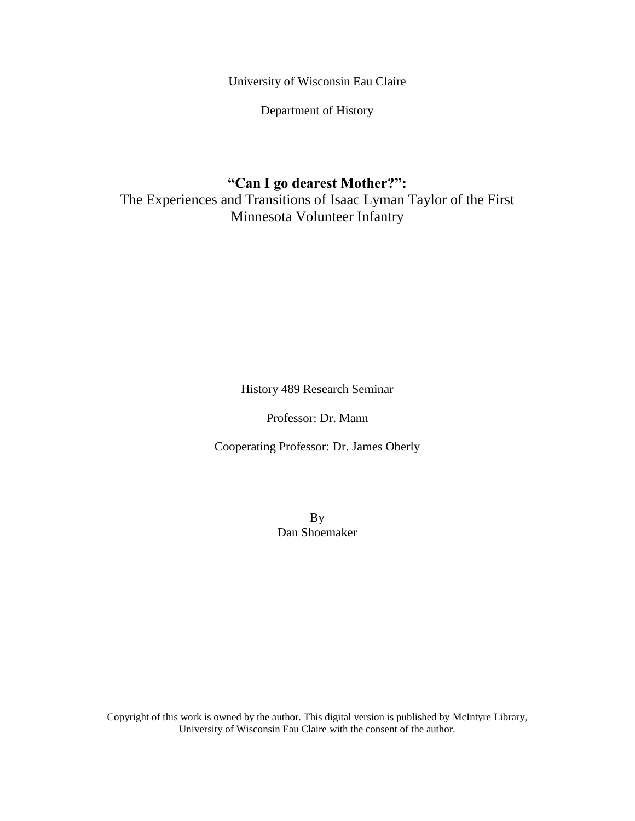University of Wisconsin Eau Claire

Department of History

# **"Can I go dearest Mother?":** The Experiences and Transitions of Isaac Lyman Taylor of the First Minnesota Volunteer Infantry

History 489 Research Seminar

Professor: Dr. Mann

Cooperating Professor: Dr. James Oberly

By Dan Shoemaker

Copyright of this work is owned by the author. This digital version is published by McIntyre Library, University of Wisconsin Eau Claire with the consent of the author.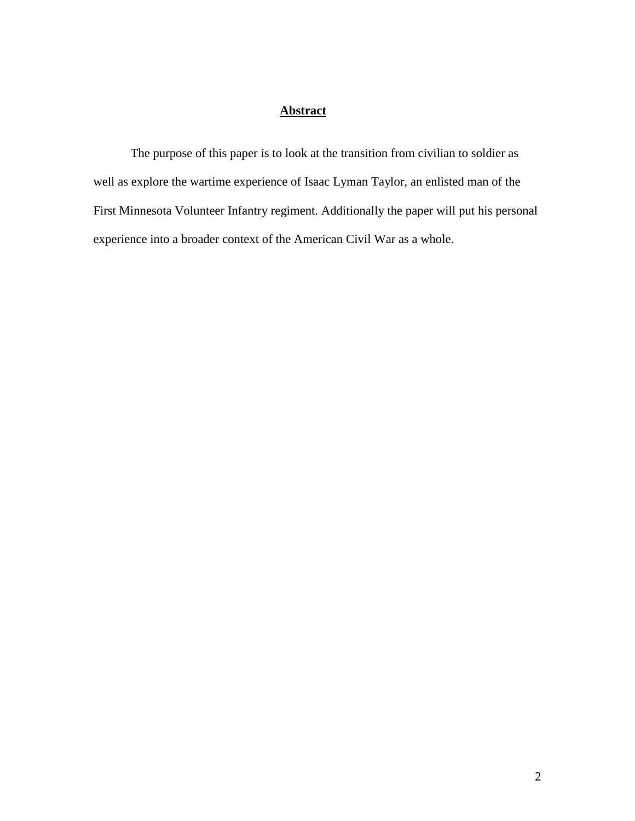# **Abstract**

The purpose of this paper is to look at the transition from civilian to soldier as well as explore the wartime experience of Isaac Lyman Taylor, an enlisted man of the First Minnesota Volunteer Infantry regiment. Additionally the paper will put his personal experience into a broader context of the American Civil War as a whole.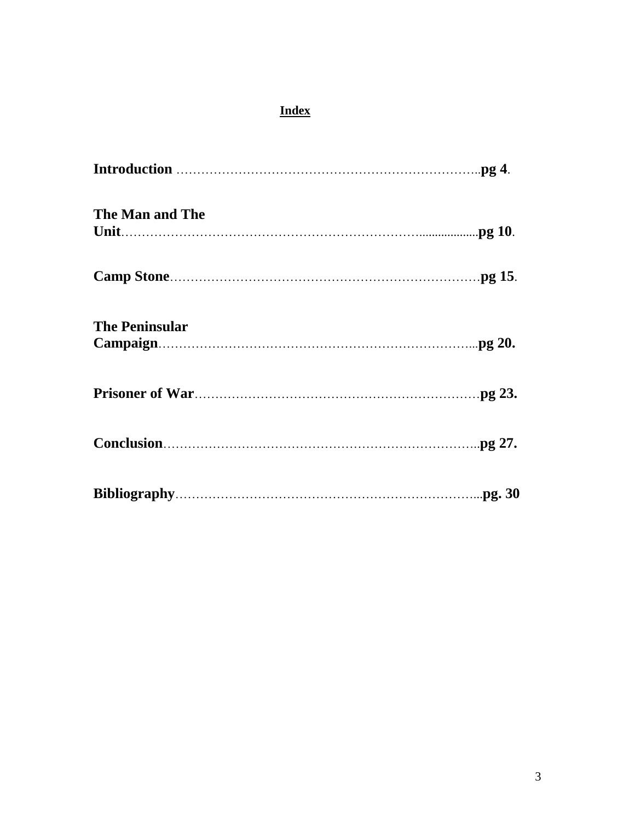# **Index**

| The Man and The       |  |
|-----------------------|--|
|                       |  |
| <b>The Peninsular</b> |  |
|                       |  |
|                       |  |
|                       |  |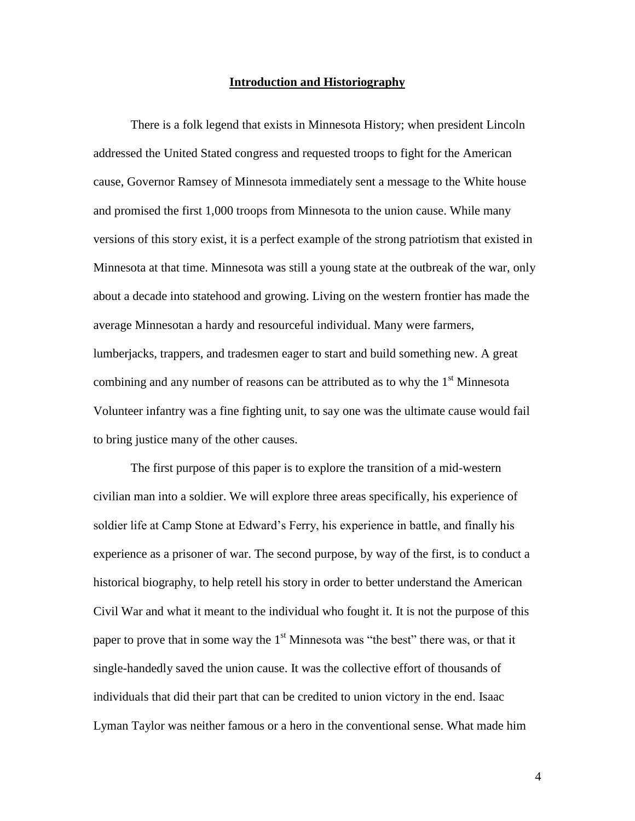#### **Introduction and Historiography**

There is a folk legend that exists in Minnesota History; when president Lincoln addressed the United Stated congress and requested troops to fight for the American cause, Governor Ramsey of Minnesota immediately sent a message to the White house and promised the first 1,000 troops from Minnesota to the union cause. While many versions of this story exist, it is a perfect example of the strong patriotism that existed in Minnesota at that time. Minnesota was still a young state at the outbreak of the war, only about a decade into statehood and growing. Living on the western frontier has made the average Minnesotan a hardy and resourceful individual. Many were farmers, lumberjacks, trappers, and tradesmen eager to start and build something new. A great combining and any number of reasons can be attributed as to why the  $1<sup>st</sup>$  Minnesota Volunteer infantry was a fine fighting unit, to say one was the ultimate cause would fail to bring justice many of the other causes.

The first purpose of this paper is to explore the transition of a mid-western civilian man into a soldier. We will explore three areas specifically, his experience of soldier life at Camp Stone at Edward's Ferry, his experience in battle, and finally his experience as a prisoner of war. The second purpose, by way of the first, is to conduct a historical biography, to help retell his story in order to better understand the American Civil War and what it meant to the individual who fought it. It is not the purpose of this paper to prove that in some way the  $1<sup>st</sup>$  Minnesota was "the best" there was, or that it single-handedly saved the union cause. It was the collective effort of thousands of individuals that did their part that can be credited to union victory in the end. Isaac Lyman Taylor was neither famous or a hero in the conventional sense. What made him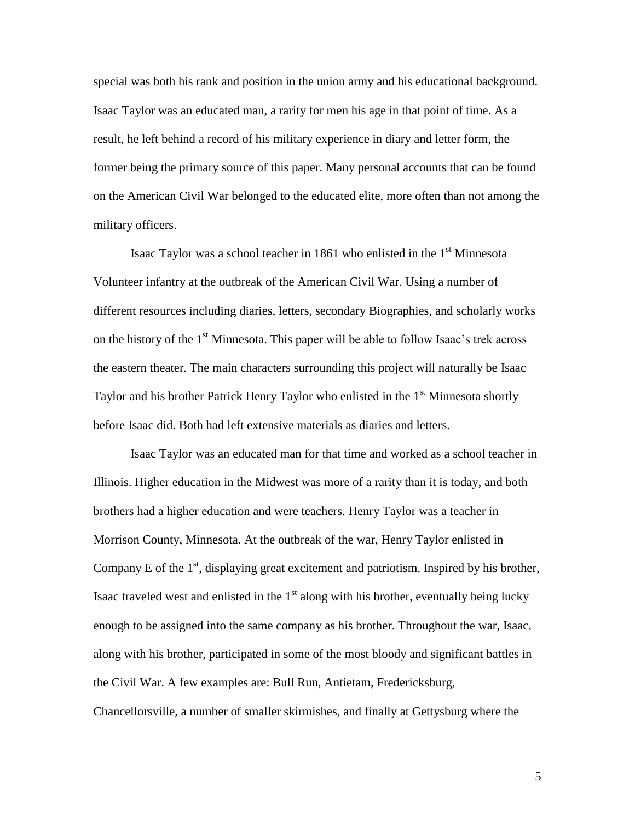special was both his rank and position in the union army and his educational background. Isaac Taylor was an educated man, a rarity for men his age in that point of time. As a result, he left behind a record of his military experience in diary and letter form, the former being the primary source of this paper. Many personal accounts that can be found on the American Civil War belonged to the educated elite, more often than not among the military officers.

Isaac Taylor was a school teacher in 1861 who enlisted in the  $1<sup>st</sup>$  Minnesota Volunteer infantry at the outbreak of the American Civil War. Using a number of different resources including diaries, letters, secondary Biographies, and scholarly works on the history of the 1<sup>st</sup> Minnesota. This paper will be able to follow Isaac's trek across the eastern theater. The main characters surrounding this project will naturally be Isaac Taylor and his brother Patrick Henry Taylor who enlisted in the  $1<sup>st</sup>$  Minnesota shortly before Isaac did. Both had left extensive materials as diaries and letters.

Isaac Taylor was an educated man for that time and worked as a school teacher in Illinois. Higher education in the Midwest was more of a rarity than it is today, and both brothers had a higher education and were teachers. Henry Taylor was a teacher in Morrison County, Minnesota. At the outbreak of the war, Henry Taylor enlisted in Company E of the  $1<sup>st</sup>$ , displaying great excitement and patriotism. Inspired by his brother, Isaac traveled west and enlisted in the  $1<sup>st</sup>$  along with his brother, eventually being lucky enough to be assigned into the same company as his brother. Throughout the war, Isaac, along with his brother, participated in some of the most bloody and significant battles in the Civil War. A few examples are: Bull Run, Antietam, Fredericksburg, Chancellorsville, a number of smaller skirmishes, and finally at Gettysburg where the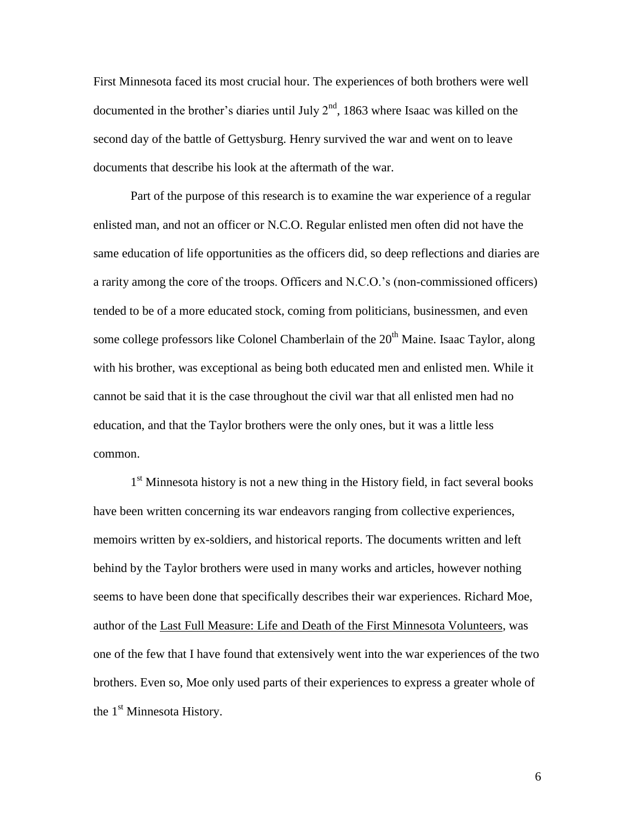First Minnesota faced its most crucial hour. The experiences of both brothers were well documented in the brother's diaries until July  $2<sup>nd</sup>$ , 1863 where Isaac was killed on the second day of the battle of Gettysburg. Henry survived the war and went on to leave documents that describe his look at the aftermath of the war.

Part of the purpose of this research is to examine the war experience of a regular enlisted man, and not an officer or N.C.O. Regular enlisted men often did not have the same education of life opportunities as the officers did, so deep reflections and diaries are a rarity among the core of the troops. Officers and N.C.O.'s (non-commissioned officers) tended to be of a more educated stock, coming from politicians, businessmen, and even some college professors like Colonel Chamberlain of the  $20<sup>th</sup>$  Maine. Isaac Taylor, along with his brother, was exceptional as being both educated men and enlisted men. While it cannot be said that it is the case throughout the civil war that all enlisted men had no education, and that the Taylor brothers were the only ones, but it was a little less common.

1<sup>st</sup> Minnesota history is not a new thing in the History field, in fact several books have been written concerning its war endeavors ranging from collective experiences, memoirs written by ex-soldiers, and historical reports. The documents written and left behind by the Taylor brothers were used in many works and articles, however nothing seems to have been done that specifically describes their war experiences. Richard Moe, author of the Last Full Measure: Life and Death of the First Minnesota Volunteers, was one of the few that I have found that extensively went into the war experiences of the two brothers. Even so, Moe only used parts of their experiences to express a greater whole of the 1<sup>st</sup> Minnesota History.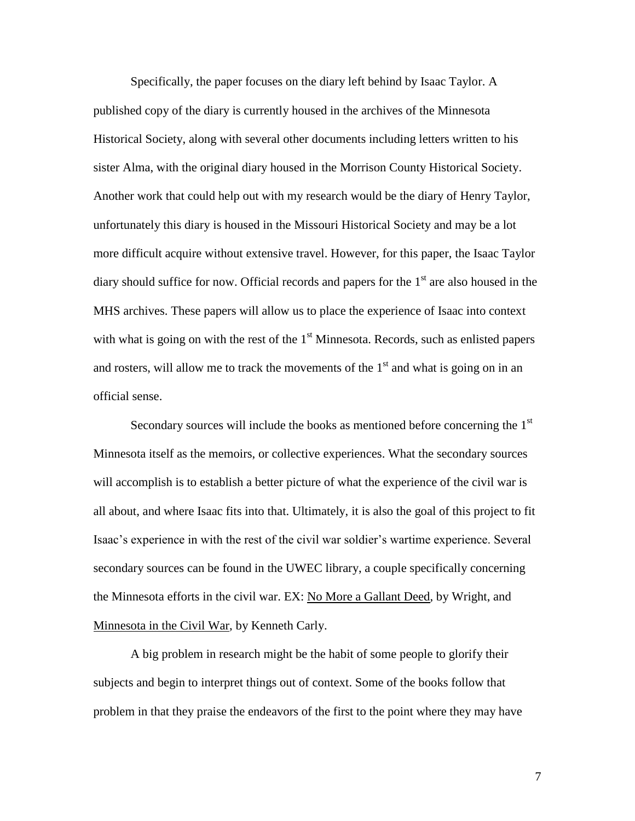Specifically, the paper focuses on the diary left behind by Isaac Taylor. A published copy of the diary is currently housed in the archives of the Minnesota Historical Society, along with several other documents including letters written to his sister Alma, with the original diary housed in the Morrison County Historical Society. Another work that could help out with my research would be the diary of Henry Taylor, unfortunately this diary is housed in the Missouri Historical Society and may be a lot more difficult acquire without extensive travel. However, for this paper, the Isaac Taylor diary should suffice for now. Official records and papers for the  $1<sup>st</sup>$  are also housed in the MHS archives. These papers will allow us to place the experience of Isaac into context with what is going on with the rest of the  $1<sup>st</sup>$  Minnesota. Records, such as enlisted papers and rosters, will allow me to track the movements of the  $1<sup>st</sup>$  and what is going on in an official sense.

Secondary sources will include the books as mentioned before concerning the  $1<sup>st</sup>$ Minnesota itself as the memoirs, or collective experiences. What the secondary sources will accomplish is to establish a better picture of what the experience of the civil war is all about, and where Isaac fits into that. Ultimately, it is also the goal of this project to fit Isaac's experience in with the rest of the civil war soldier's wartime experience. Several secondary sources can be found in the UWEC library, a couple specifically concerning the Minnesota efforts in the civil war. EX: No More a Gallant Deed, by Wright, and Minnesota in the Civil War, by Kenneth Carly.

A big problem in research might be the habit of some people to glorify their subjects and begin to interpret things out of context. Some of the books follow that problem in that they praise the endeavors of the first to the point where they may have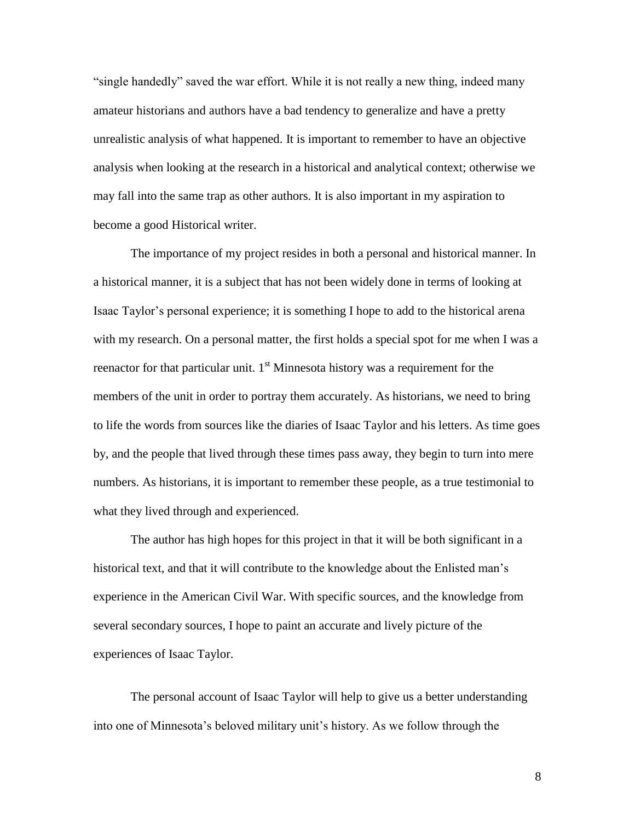"single handedly" saved the war effort. While it is not really a new thing, indeed many amateur historians and authors have a bad tendency to generalize and have a pretty unrealistic analysis of what happened. It is important to remember to have an objective analysis when looking at the research in a historical and analytical context; otherwise we may fall into the same trap as other authors. It is also important in my aspiration to become a good Historical writer.

The importance of my project resides in both a personal and historical manner. In a historical manner, it is a subject that has not been widely done in terms of looking at Isaac Taylor's personal experience; it is something I hope to add to the historical arena with my research. On a personal matter, the first holds a special spot for me when I was a reenactor for that particular unit.  $1<sup>st</sup>$  Minnesota history was a requirement for the members of the unit in order to portray them accurately. As historians, we need to bring to life the words from sources like the diaries of Isaac Taylor and his letters. As time goes by, and the people that lived through these times pass away, they begin to turn into mere numbers. As historians, it is important to remember these people, as a true testimonial to what they lived through and experienced.

The author has high hopes for this project in that it will be both significant in a historical text, and that it will contribute to the knowledge about the Enlisted man's experience in the American Civil War. With specific sources, and the knowledge from several secondary sources, I hope to paint an accurate and lively picture of the experiences of Isaac Taylor.

The personal account of Isaac Taylor will help to give us a better understanding into one of Minnesota's beloved military unit's history. As we follow through the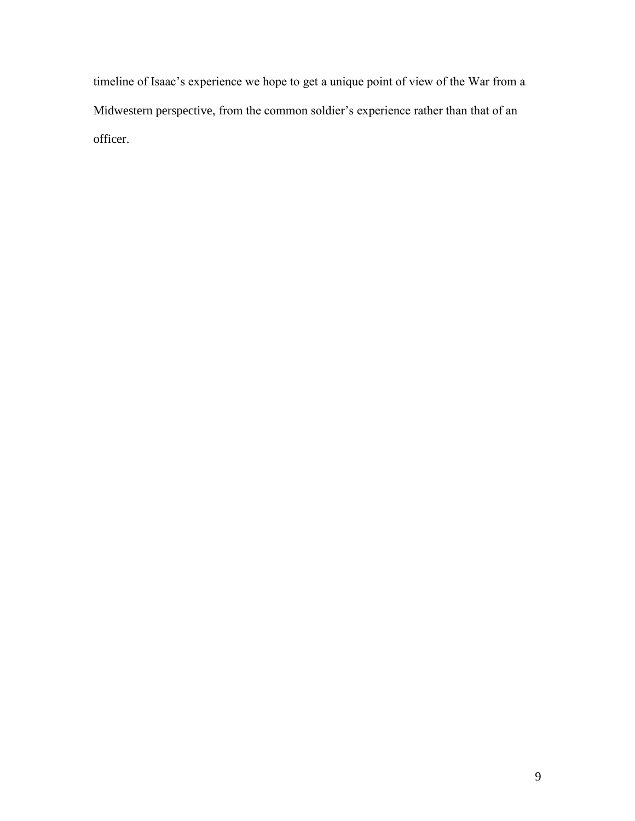timeline of Isaac's experience we hope to get a unique point of view of the War from a Midwestern perspective, from the common soldier's experience rather than that of an officer.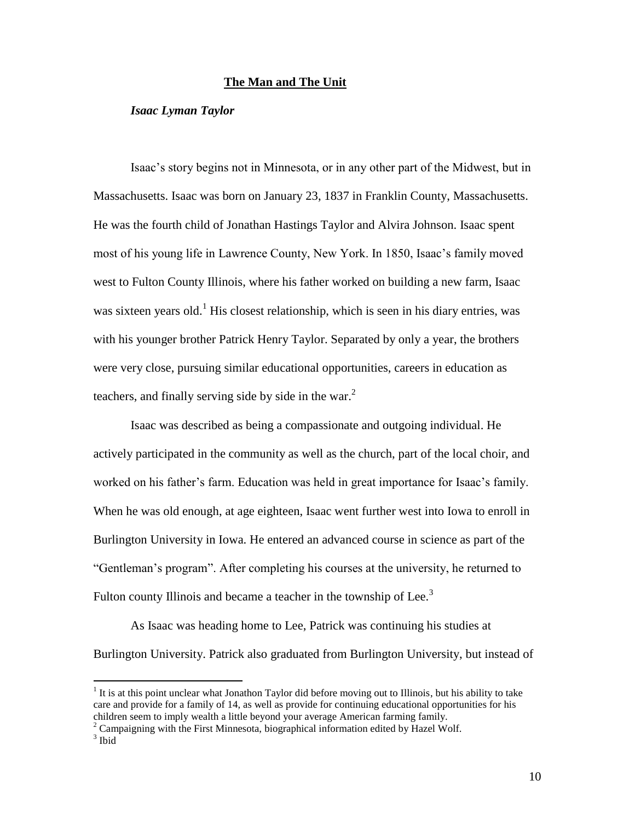#### **The Man and The Unit**

#### *Isaac Lyman Taylor*

Isaac's story begins not in Minnesota, or in any other part of the Midwest, but in Massachusetts. Isaac was born on January 23, 1837 in Franklin County, Massachusetts. He was the fourth child of Jonathan Hastings Taylor and Alvira Johnson. Isaac spent most of his young life in Lawrence County, New York. In 1850, Isaac's family moved west to Fulton County Illinois, where his father worked on building a new farm, Isaac was sixteen years old.<sup>1</sup> His closest relationship, which is seen in his diary entries, was with his younger brother Patrick Henry Taylor. Separated by only a year, the brothers were very close, pursuing similar educational opportunities, careers in education as teachers, and finally serving side by side in the war.<sup>2</sup>

Isaac was described as being a compassionate and outgoing individual. He actively participated in the community as well as the church, part of the local choir, and worked on his father's farm. Education was held in great importance for Isaac's family. When he was old enough, at age eighteen, Isaac went further west into Iowa to enroll in Burlington University in Iowa. He entered an advanced course in science as part of the "Gentleman's program". After completing his courses at the university, he returned to Fulton county Illinois and became a teacher in the township of Lee.<sup>3</sup>

As Isaac was heading home to Lee, Patrick was continuing his studies at Burlington University. Patrick also graduated from Burlington University, but instead of

<sup>&</sup>lt;sup>1</sup> It is at this point unclear what Jonathon Taylor did before moving out to Illinois, but his ability to take care and provide for a family of 14, as well as provide for continuing educational opportunities for his children seem to imply wealth a little beyond your average American farming family.

 $2^2$  Campaigning with the First Minnesota, biographical information edited by Hazel Wolf.

<sup>3</sup> Ibid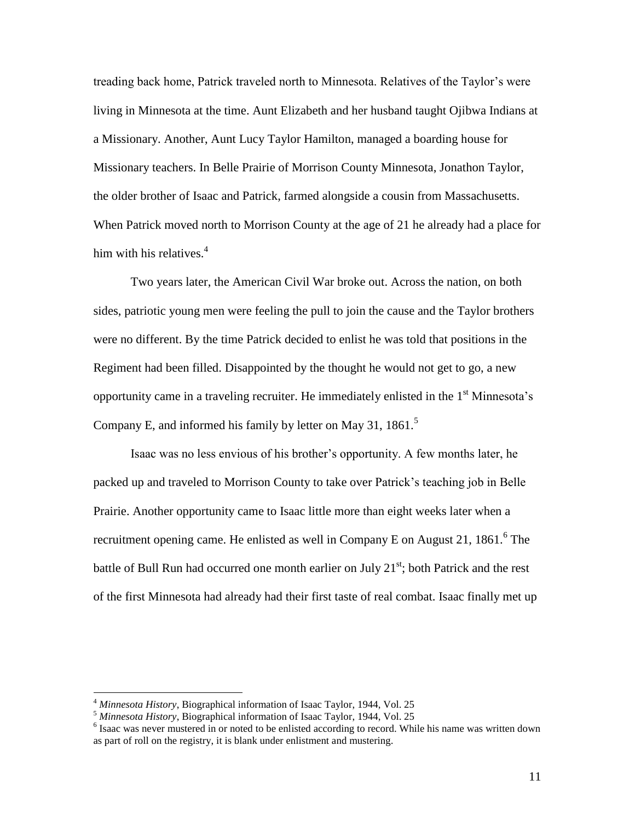treading back home, Patrick traveled north to Minnesota. Relatives of the Taylor's were living in Minnesota at the time. Aunt Elizabeth and her husband taught Ojibwa Indians at a Missionary. Another, Aunt Lucy Taylor Hamilton, managed a boarding house for Missionary teachers. In Belle Prairie of Morrison County Minnesota, Jonathon Taylor, the older brother of Isaac and Patrick, farmed alongside a cousin from Massachusetts. When Patrick moved north to Morrison County at the age of 21 he already had a place for him with his relatives. $4$ 

Two years later, the American Civil War broke out. Across the nation, on both sides, patriotic young men were feeling the pull to join the cause and the Taylor brothers were no different. By the time Patrick decided to enlist he was told that positions in the Regiment had been filled. Disappointed by the thought he would not get to go, a new opportunity came in a traveling recruiter. He immediately enlisted in the  $1<sup>st</sup>$  Minnesota's Company E, and informed his family by letter on May 31, 1861.<sup>5</sup>

Isaac was no less envious of his brother's opportunity. A few months later, he packed up and traveled to Morrison County to take over Patrick's teaching job in Belle Prairie. Another opportunity came to Isaac little more than eight weeks later when a recruitment opening came. He enlisted as well in Company E on August 21,  $1861$ .<sup>6</sup> The battle of Bull Run had occurred one month earlier on July  $21<sup>st</sup>$ ; both Patrick and the rest of the first Minnesota had already had their first taste of real combat. Isaac finally met up

<sup>4</sup> *Minnesota History*, Biographical information of Isaac Taylor, 1944, Vol. 25

<sup>&</sup>lt;sup>5</sup> *Minnesota History*, Biographical information of Isaac Taylor, 1944, Vol. 25

<sup>&</sup>lt;sup>6</sup> Isaac was never mustered in or noted to be enlisted according to record. While his name was written down as part of roll on the registry, it is blank under enlistment and mustering.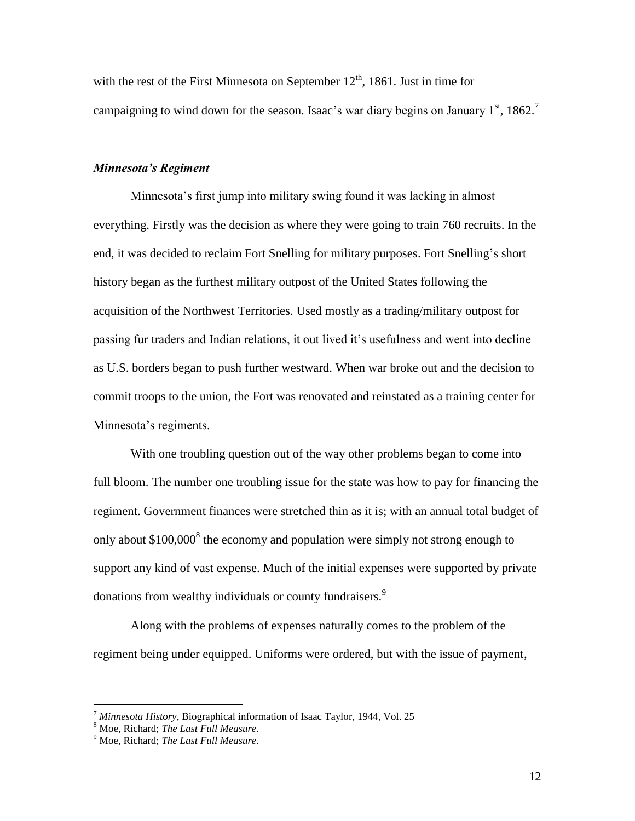with the rest of the First Minnesota on September  $12<sup>th</sup>$ , 1861. Just in time for campaigning to wind down for the season. Isaac's war diary begins on January  $1<sup>st</sup>$ , 1862.<sup>7</sup>

## *Minnesota's Regiment*

Minnesota's first jump into military swing found it was lacking in almost everything. Firstly was the decision as where they were going to train 760 recruits. In the end, it was decided to reclaim Fort Snelling for military purposes. Fort Snelling's short history began as the furthest military outpost of the United States following the acquisition of the Northwest Territories. Used mostly as a trading/military outpost for passing fur traders and Indian relations, it out lived it's usefulness and went into decline as U.S. borders began to push further westward. When war broke out and the decision to commit troops to the union, the Fort was renovated and reinstated as a training center for Minnesota's regiments.

With one troubling question out of the way other problems began to come into full bloom. The number one troubling issue for the state was how to pay for financing the regiment. Government finances were stretched thin as it is; with an annual total budget of only about \$100,000<sup>8</sup> the economy and population were simply not strong enough to support any kind of vast expense. Much of the initial expenses were supported by private donations from wealthy individuals or county fundraisers.<sup>9</sup>

Along with the problems of expenses naturally comes to the problem of the regiment being under equipped. Uniforms were ordered, but with the issue of payment,

<sup>7</sup> *Minnesota History*, Biographical information of Isaac Taylor, 1944, Vol. 25

<sup>8</sup> Moe, Richard; *The Last Full Measure*.

<sup>9</sup> Moe, Richard; *The Last Full Measure*.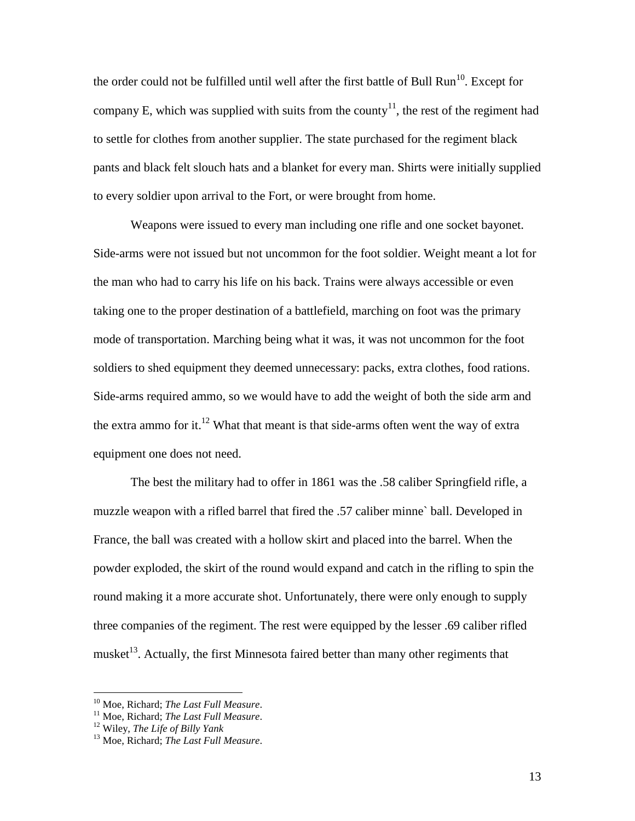the order could not be fulfilled until well after the first battle of Bull Run<sup>10</sup>. Except for company E, which was supplied with suits from the county<sup>11</sup>, the rest of the regiment had to settle for clothes from another supplier. The state purchased for the regiment black pants and black felt slouch hats and a blanket for every man. Shirts were initially supplied to every soldier upon arrival to the Fort, or were brought from home.

Weapons were issued to every man including one rifle and one socket bayonet. Side-arms were not issued but not uncommon for the foot soldier. Weight meant a lot for the man who had to carry his life on his back. Trains were always accessible or even taking one to the proper destination of a battlefield, marching on foot was the primary mode of transportation. Marching being what it was, it was not uncommon for the foot soldiers to shed equipment they deemed unnecessary: packs, extra clothes, food rations. Side-arms required ammo, so we would have to add the weight of both the side arm and the extra ammo for it.<sup>12</sup> What that meant is that side-arms often went the way of extra equipment one does not need.

The best the military had to offer in 1861 was the .58 caliber Springfield rifle, a muzzle weapon with a rifled barrel that fired the .57 caliber minne` ball. Developed in France, the ball was created with a hollow skirt and placed into the barrel. When the powder exploded, the skirt of the round would expand and catch in the rifling to spin the round making it a more accurate shot. Unfortunately, there were only enough to supply three companies of the regiment. The rest were equipped by the lesser .69 caliber rifled musket<sup>13</sup>. Actually, the first Minnesota faired better than many other regiments that

<sup>10</sup> Moe, Richard; *The Last Full Measure*.

<sup>11</sup> Moe, Richard; *The Last Full Measure*.

<sup>12</sup> Wiley, *The Life of Billy Yank*

<sup>13</sup> Moe, Richard; *The Last Full Measure*.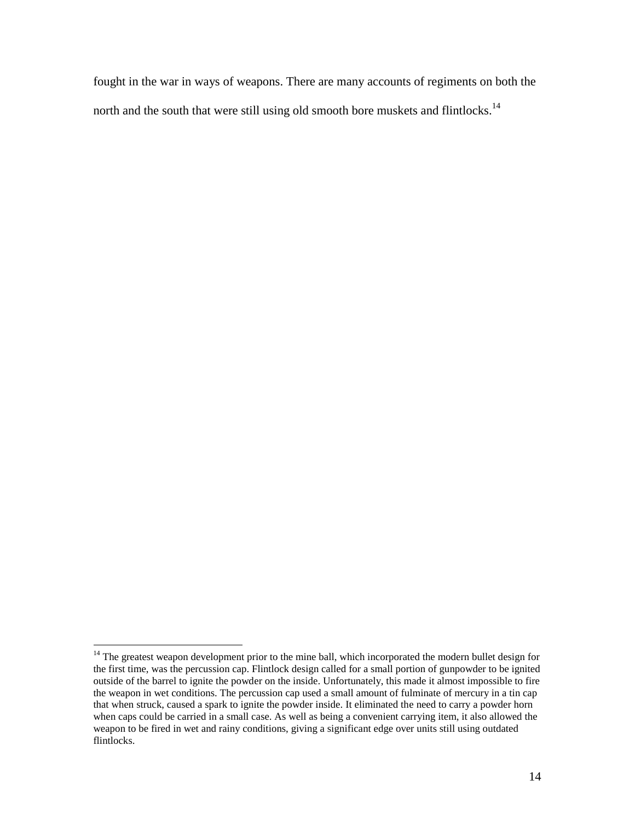fought in the war in ways of weapons. There are many accounts of regiments on both the north and the south that were still using old smooth bore muskets and flintlocks.<sup>14</sup>

 $14$  The greatest weapon development prior to the mine ball, which incorporated the modern bullet design for the first time, was the percussion cap. Flintlock design called for a small portion of gunpowder to be ignited outside of the barrel to ignite the powder on the inside. Unfortunately, this made it almost impossible to fire the weapon in wet conditions. The percussion cap used a small amount of fulminate of mercury in a tin cap that when struck, caused a spark to ignite the powder inside. It eliminated the need to carry a powder horn when caps could be carried in a small case. As well as being a convenient carrying item, it also allowed the weapon to be fired in wet and rainy conditions, giving a significant edge over units still using outdated flintlocks.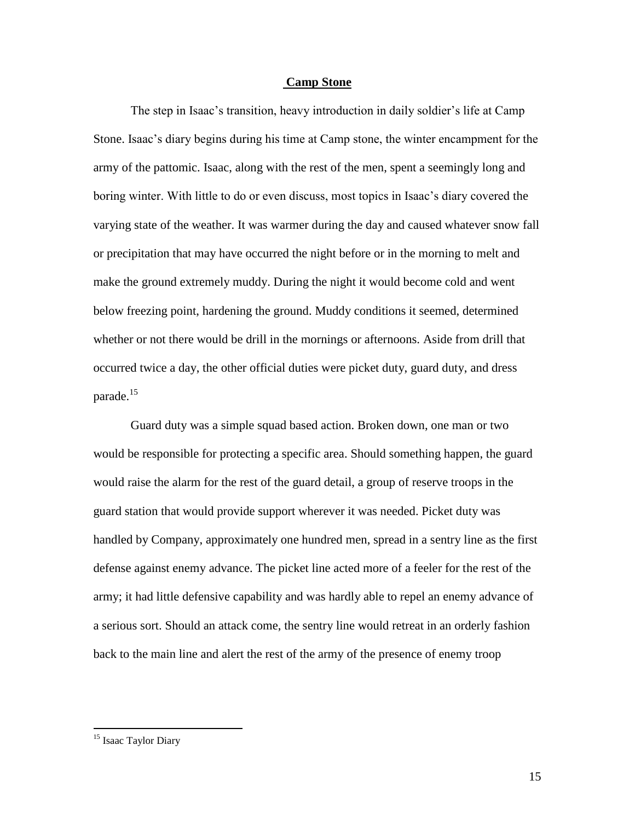## **Camp Stone**

The step in Isaac's transition, heavy introduction in daily soldier's life at Camp Stone. Isaac's diary begins during his time at Camp stone, the winter encampment for the army of the pattomic. Isaac, along with the rest of the men, spent a seemingly long and boring winter. With little to do or even discuss, most topics in Isaac's diary covered the varying state of the weather. It was warmer during the day and caused whatever snow fall or precipitation that may have occurred the night before or in the morning to melt and make the ground extremely muddy. During the night it would become cold and went below freezing point, hardening the ground. Muddy conditions it seemed, determined whether or not there would be drill in the mornings or afternoons. Aside from drill that occurred twice a day, the other official duties were picket duty, guard duty, and dress parade.<sup>15</sup>

Guard duty was a simple squad based action. Broken down, one man or two would be responsible for protecting a specific area. Should something happen, the guard would raise the alarm for the rest of the guard detail, a group of reserve troops in the guard station that would provide support wherever it was needed. Picket duty was handled by Company, approximately one hundred men, spread in a sentry line as the first defense against enemy advance. The picket line acted more of a feeler for the rest of the army; it had little defensive capability and was hardly able to repel an enemy advance of a serious sort. Should an attack come, the sentry line would retreat in an orderly fashion back to the main line and alert the rest of the army of the presence of enemy troop

<sup>&</sup>lt;sup>15</sup> Isaac Taylor Diary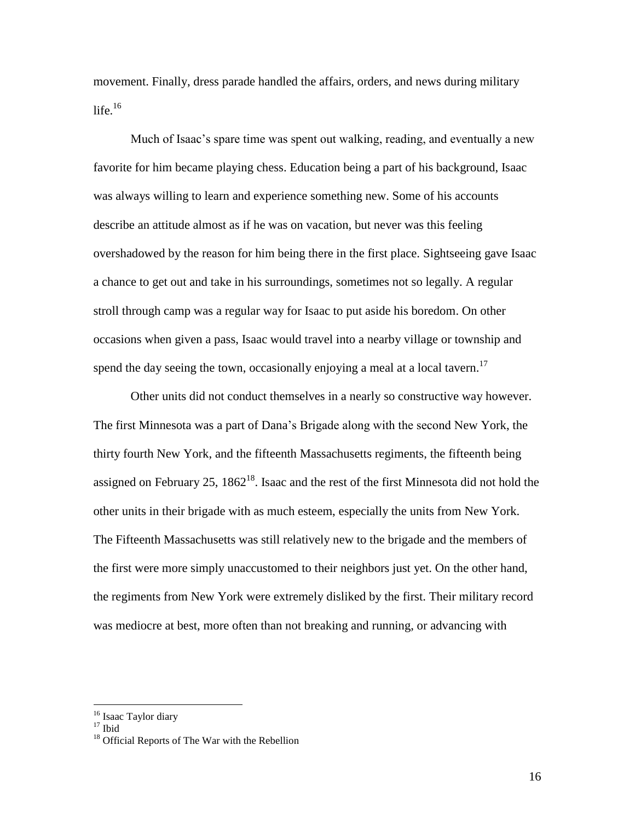movement. Finally, dress parade handled the affairs, orders, and news during military life. $16$ 

Much of Isaac's spare time was spent out walking, reading, and eventually a new favorite for him became playing chess. Education being a part of his background, Isaac was always willing to learn and experience something new. Some of his accounts describe an attitude almost as if he was on vacation, but never was this feeling overshadowed by the reason for him being there in the first place. Sightseeing gave Isaac a chance to get out and take in his surroundings, sometimes not so legally. A regular stroll through camp was a regular way for Isaac to put aside his boredom. On other occasions when given a pass, Isaac would travel into a nearby village or township and spend the day seeing the town, occasionally enjoying a meal at a local tavern.<sup>17</sup>

Other units did not conduct themselves in a nearly so constructive way however. The first Minnesota was a part of Dana's Brigade along with the second New York, the thirty fourth New York, and the fifteenth Massachusetts regiments, the fifteenth being assigned on February 25,  $1862^{18}$ . Isaac and the rest of the first Minnesota did not hold the other units in their brigade with as much esteem, especially the units from New York. The Fifteenth Massachusetts was still relatively new to the brigade and the members of the first were more simply unaccustomed to their neighbors just yet. On the other hand, the regiments from New York were extremely disliked by the first. Their military record was mediocre at best, more often than not breaking and running, or advancing with

<sup>&</sup>lt;sup>16</sup> Isaac Taylor diary

 $17$  Ibid

<sup>&</sup>lt;sup>18</sup> Official Reports of The War with the Rebellion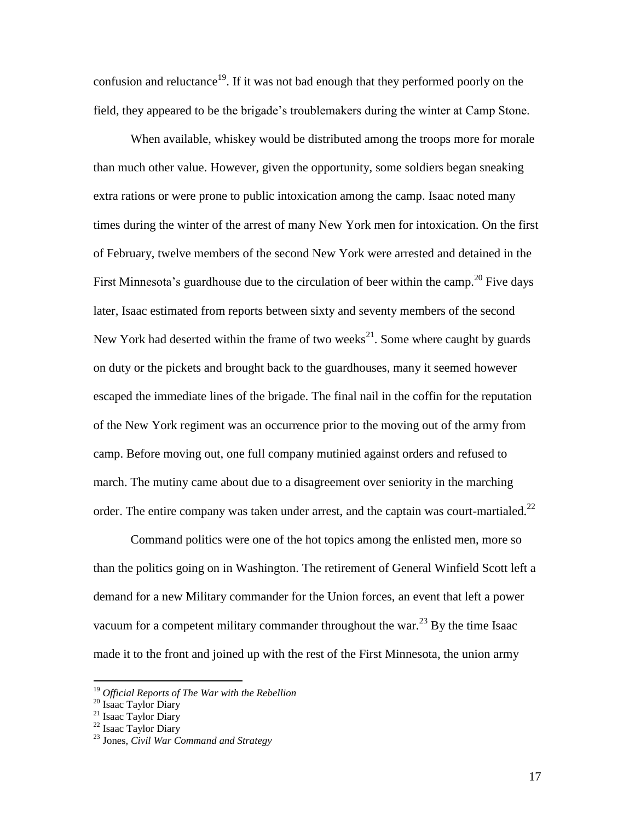confusion and reluctance<sup>19</sup>. If it was not bad enough that they performed poorly on the field, they appeared to be the brigade's troublemakers during the winter at Camp Stone.

When available, whiskey would be distributed among the troops more for morale than much other value. However, given the opportunity, some soldiers began sneaking extra rations or were prone to public intoxication among the camp. Isaac noted many times during the winter of the arrest of many New York men for intoxication. On the first of February, twelve members of the second New York were arrested and detained in the First Minnesota's guardhouse due to the circulation of beer within the camp.<sup>20</sup> Five days later, Isaac estimated from reports between sixty and seventy members of the second New York had deserted within the frame of two weeks<sup>21</sup>. Some where caught by guards on duty or the pickets and brought back to the guardhouses, many it seemed however escaped the immediate lines of the brigade. The final nail in the coffin for the reputation of the New York regiment was an occurrence prior to the moving out of the army from camp. Before moving out, one full company mutinied against orders and refused to march. The mutiny came about due to a disagreement over seniority in the marching order. The entire company was taken under arrest, and the captain was court-martialed.<sup>22</sup>

Command politics were one of the hot topics among the enlisted men, more so than the politics going on in Washington. The retirement of General Winfield Scott left a demand for a new Military commander for the Union forces, an event that left a power vacuum for a competent military commander throughout the war.<sup>23</sup> By the time Isaac made it to the front and joined up with the rest of the First Minnesota, the union army

<sup>19</sup> *Official Reports of The War with the Rebellion*

<sup>&</sup>lt;sup>20</sup> Isaac Taylor Diary

<sup>&</sup>lt;sup>21</sup> Isaac Taylor Diary

<sup>&</sup>lt;sup>22</sup> Isaac Taylor Diary

<sup>23</sup> Jones, *Civil War Command and Strategy*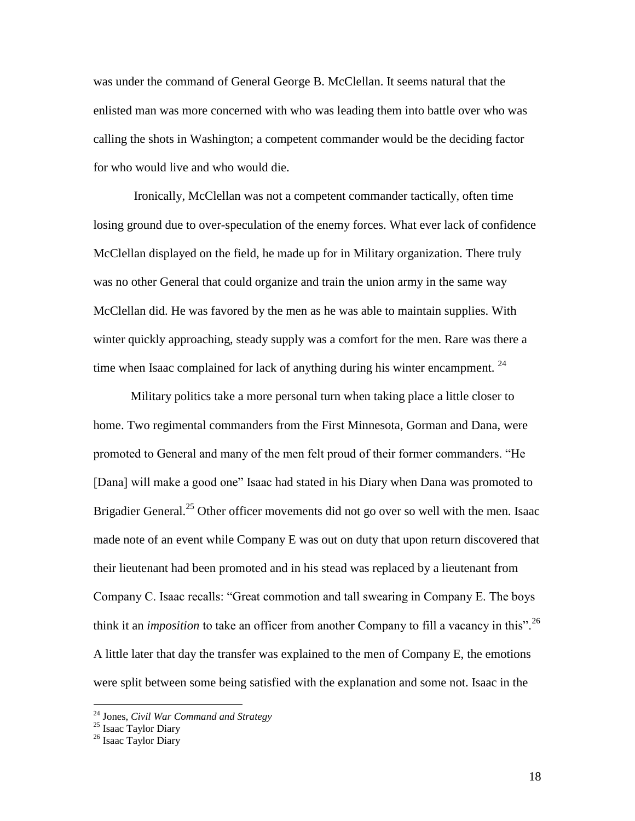was under the command of General George B. McClellan. It seems natural that the enlisted man was more concerned with who was leading them into battle over who was calling the shots in Washington; a competent commander would be the deciding factor for who would live and who would die.

Ironically, McClellan was not a competent commander tactically, often time losing ground due to over-speculation of the enemy forces. What ever lack of confidence McClellan displayed on the field, he made up for in Military organization. There truly was no other General that could organize and train the union army in the same way McClellan did. He was favored by the men as he was able to maintain supplies. With winter quickly approaching, steady supply was a comfort for the men. Rare was there a time when Isaac complained for lack of anything during his winter encampment.  $24$ 

Military politics take a more personal turn when taking place a little closer to home. Two regimental commanders from the First Minnesota, Gorman and Dana, were promoted to General and many of the men felt proud of their former commanders. "He [Dana] will make a good one" Isaac had stated in his Diary when Dana was promoted to Brigadier General.<sup>25</sup> Other officer movements did not go over so well with the men. Isaac made note of an event while Company E was out on duty that upon return discovered that their lieutenant had been promoted and in his stead was replaced by a lieutenant from Company C. Isaac recalls: "Great commotion and tall swearing in Company E. The boys think it an *imposition* to take an officer from another Company to fill a vacancy in this".<sup>26</sup> A little later that day the transfer was explained to the men of Company E, the emotions were split between some being satisfied with the explanation and some not. Isaac in the

<sup>24</sup> Jones, *Civil War Command and Strategy*

<sup>&</sup>lt;sup>25</sup> Isaac Taylor Diary

 $26$  Isaac Taylor Diary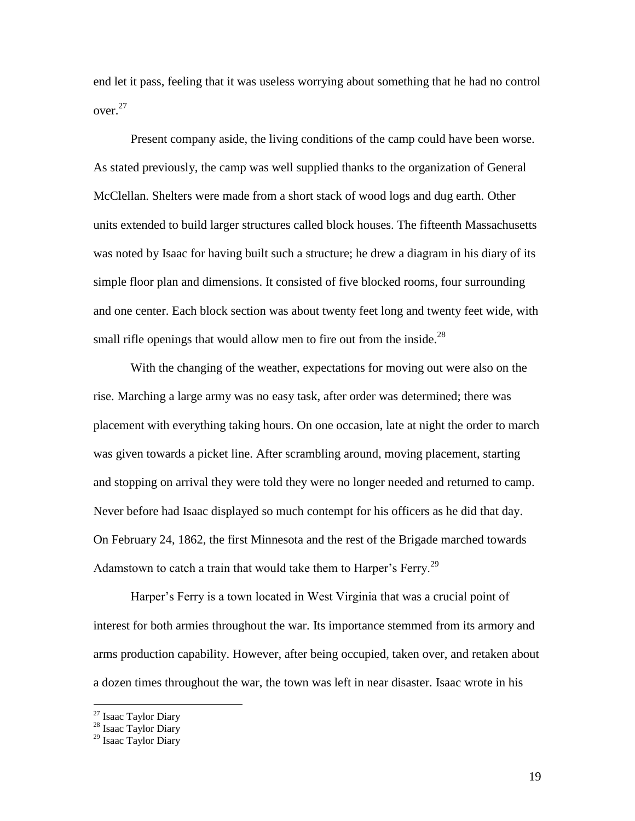end let it pass, feeling that it was useless worrying about something that he had no control over.<sup>27</sup>

Present company aside, the living conditions of the camp could have been worse. As stated previously, the camp was well supplied thanks to the organization of General McClellan. Shelters were made from a short stack of wood logs and dug earth. Other units extended to build larger structures called block houses. The fifteenth Massachusetts was noted by Isaac for having built such a structure; he drew a diagram in his diary of its simple floor plan and dimensions. It consisted of five blocked rooms, four surrounding and one center. Each block section was about twenty feet long and twenty feet wide, with small rifle openings that would allow men to fire out from the inside.<sup>28</sup>

With the changing of the weather, expectations for moving out were also on the rise. Marching a large army was no easy task, after order was determined; there was placement with everything taking hours. On one occasion, late at night the order to march was given towards a picket line. After scrambling around, moving placement, starting and stopping on arrival they were told they were no longer needed and returned to camp. Never before had Isaac displayed so much contempt for his officers as he did that day. On February 24, 1862, the first Minnesota and the rest of the Brigade marched towards Adamstown to catch a train that would take them to Harper's Ferry.<sup>29</sup>

Harper's Ferry is a town located in West Virginia that was a crucial point of interest for both armies throughout the war. Its importance stemmed from its armory and arms production capability. However, after being occupied, taken over, and retaken about a dozen times throughout the war, the town was left in near disaster. Isaac wrote in his

<sup>&</sup>lt;sup>27</sup> Isaac Taylor Diary

<sup>&</sup>lt;sup>28</sup> Isaac Taylor Diary

 $29$  Isaac Taylor Diary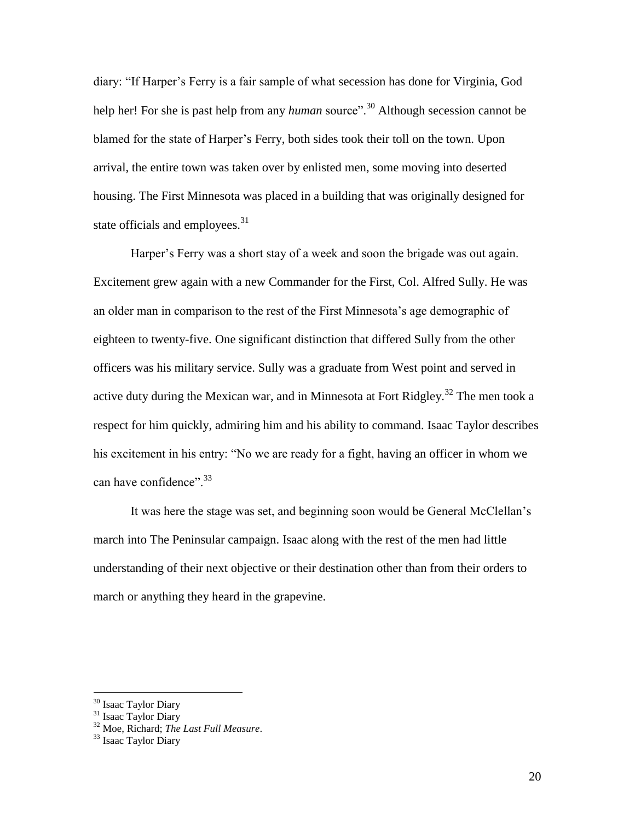diary: "If Harper's Ferry is a fair sample of what secession has done for Virginia, God help her! For she is past help from any *human* source".<sup>30</sup> Although secession cannot be blamed for the state of Harper's Ferry, both sides took their toll on the town. Upon arrival, the entire town was taken over by enlisted men, some moving into deserted housing. The First Minnesota was placed in a building that was originally designed for state officials and employees.<sup>31</sup>

Harper's Ferry was a short stay of a week and soon the brigade was out again. Excitement grew again with a new Commander for the First, Col. Alfred Sully. He was an older man in comparison to the rest of the First Minnesota's age demographic of eighteen to twenty-five. One significant distinction that differed Sully from the other officers was his military service. Sully was a graduate from West point and served in active duty during the Mexican war, and in Minnesota at Fort Ridgley.<sup>32</sup> The men took a respect for him quickly, admiring him and his ability to command. Isaac Taylor describes his excitement in his entry: "No we are ready for a fight, having an officer in whom we can have confidence".<sup>33</sup>

It was here the stage was set, and beginning soon would be General McClellan's march into The Peninsular campaign. Isaac along with the rest of the men had little understanding of their next objective or their destination other than from their orders to march or anything they heard in the grapevine.

<sup>&</sup>lt;sup>30</sup> Isaac Taylor Diary

<sup>&</sup>lt;sup>31</sup> Isaac Taylor Diary

<sup>32</sup> Moe, Richard; *The Last Full Measure*.

<sup>&</sup>lt;sup>33</sup> Isaac Taylor Diary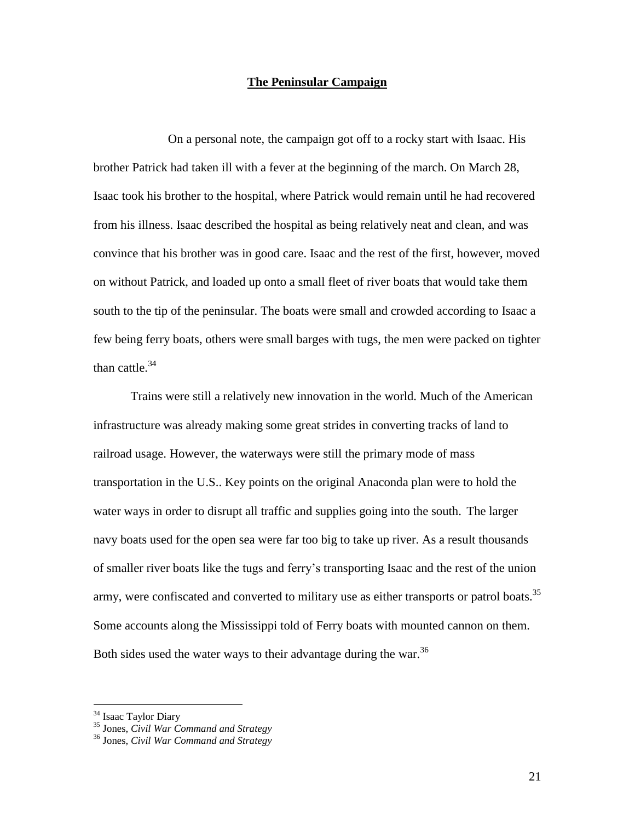## **The Peninsular Campaign**

On a personal note, the campaign got off to a rocky start with Isaac. His brother Patrick had taken ill with a fever at the beginning of the march. On March 28, Isaac took his brother to the hospital, where Patrick would remain until he had recovered from his illness. Isaac described the hospital as being relatively neat and clean, and was convince that his brother was in good care. Isaac and the rest of the first, however, moved on without Patrick, and loaded up onto a small fleet of river boats that would take them south to the tip of the peninsular. The boats were small and crowded according to Isaac a few being ferry boats, others were small barges with tugs, the men were packed on tighter than cattle. $34$ 

Trains were still a relatively new innovation in the world. Much of the American infrastructure was already making some great strides in converting tracks of land to railroad usage. However, the waterways were still the primary mode of mass transportation in the U.S.. Key points on the original Anaconda plan were to hold the water ways in order to disrupt all traffic and supplies going into the south. The larger navy boats used for the open sea were far too big to take up river. As a result thousands of smaller river boats like the tugs and ferry's transporting Isaac and the rest of the union army, were confiscated and converted to military use as either transports or patrol boats.<sup>35</sup> Some accounts along the Mississippi told of Ferry boats with mounted cannon on them. Both sides used the water ways to their advantage during the war.<sup>36</sup>

<sup>&</sup>lt;sup>34</sup> Isaac Taylor Diary

<sup>35</sup> Jones, *Civil War Command and Strategy*

<sup>36</sup> Jones, *Civil War Command and Strategy*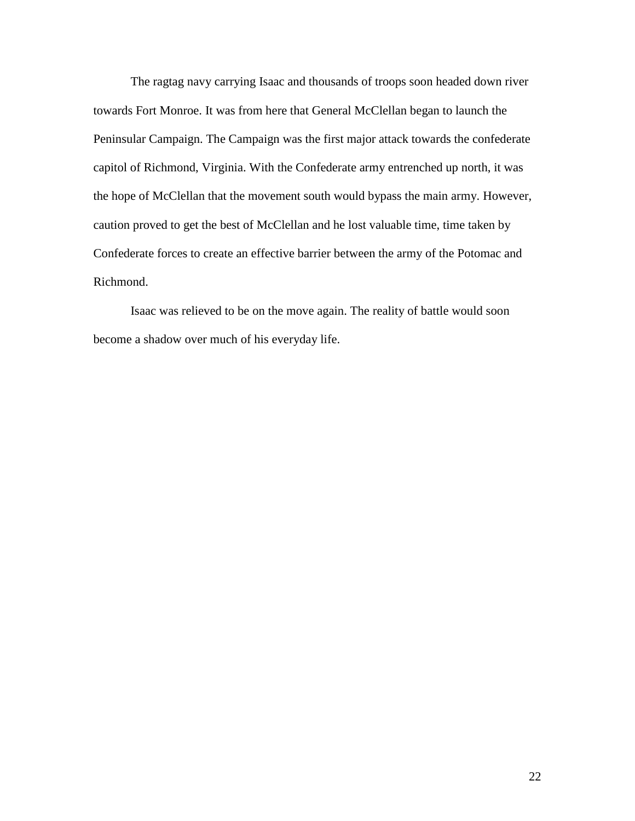The ragtag navy carrying Isaac and thousands of troops soon headed down river towards Fort Monroe. It was from here that General McClellan began to launch the Peninsular Campaign. The Campaign was the first major attack towards the confederate capitol of Richmond, Virginia. With the Confederate army entrenched up north, it was the hope of McClellan that the movement south would bypass the main army. However, caution proved to get the best of McClellan and he lost valuable time, time taken by Confederate forces to create an effective barrier between the army of the Potomac and Richmond.

Isaac was relieved to be on the move again. The reality of battle would soon become a shadow over much of his everyday life.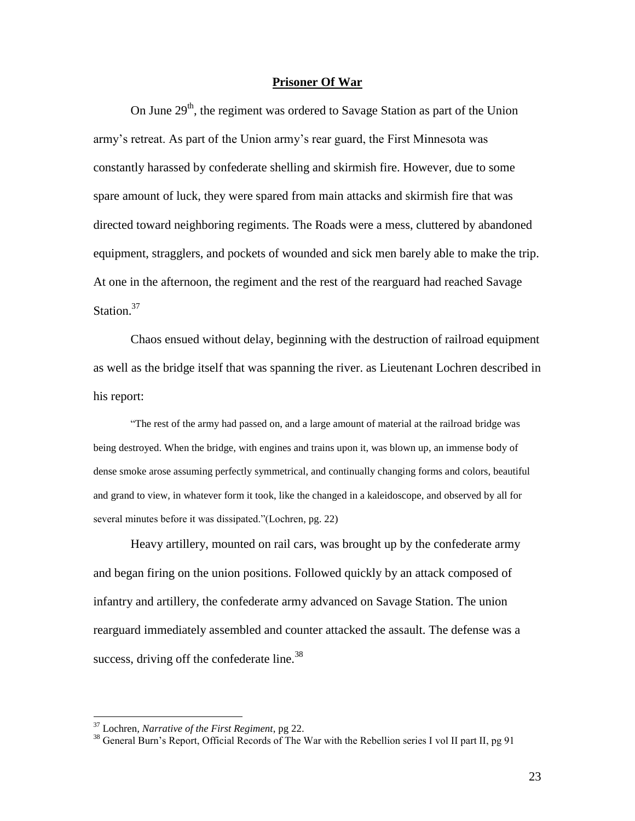### **Prisoner Of War**

On June  $29<sup>th</sup>$ , the regiment was ordered to Savage Station as part of the Union army's retreat. As part of the Union army's rear guard, the First Minnesota was constantly harassed by confederate shelling and skirmish fire. However, due to some spare amount of luck, they were spared from main attacks and skirmish fire that was directed toward neighboring regiments. The Roads were a mess, cluttered by abandoned equipment, stragglers, and pockets of wounded and sick men barely able to make the trip. At one in the afternoon, the regiment and the rest of the rearguard had reached Savage Station.<sup>37</sup>

Chaos ensued without delay, beginning with the destruction of railroad equipment as well as the bridge itself that was spanning the river. as Lieutenant Lochren described in his report:

"The rest of the army had passed on, and a large amount of material at the railroad bridge was being destroyed. When the bridge, with engines and trains upon it, was blown up, an immense body of dense smoke arose assuming perfectly symmetrical, and continually changing forms and colors, beautiful and grand to view, in whatever form it took, like the changed in a kaleidoscope, and observed by all for several minutes before it was dissipated."(Lochren, pg. 22)

Heavy artillery, mounted on rail cars, was brought up by the confederate army and began firing on the union positions. Followed quickly by an attack composed of infantry and artillery, the confederate army advanced on Savage Station. The union rearguard immediately assembled and counter attacked the assault. The defense was a success, driving off the confederate line.<sup>38</sup>

<sup>37</sup> Lochren*, Narrative of the First Regiment*, pg 22.

<sup>&</sup>lt;sup>38</sup> General Burn's Report, Official Records of The War with the Rebellion series I vol II part II, pg 91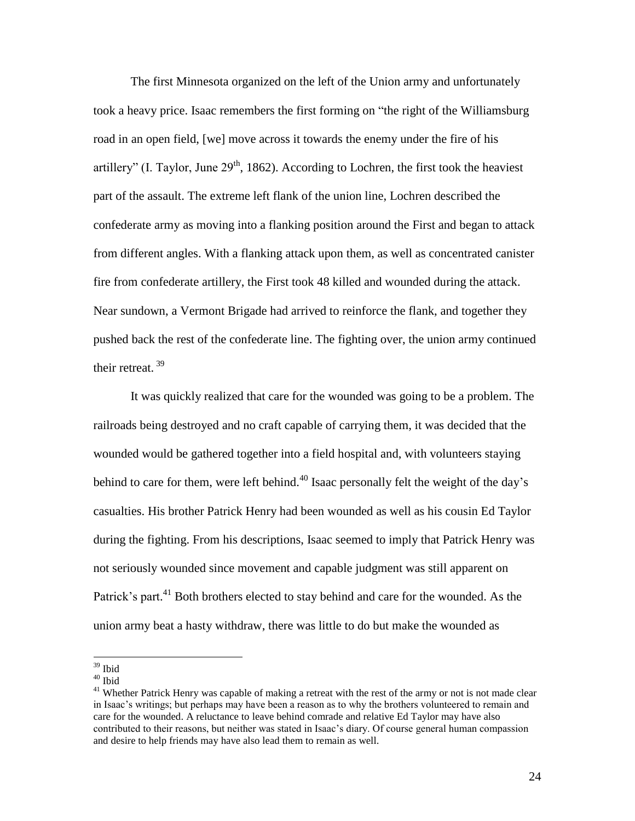The first Minnesota organized on the left of the Union army and unfortunately took a heavy price. Isaac remembers the first forming on "the right of the Williamsburg road in an open field, [we] move across it towards the enemy under the fire of his artillery" (I. Taylor, June  $29<sup>th</sup>$ , 1862). According to Lochren, the first took the heaviest part of the assault. The extreme left flank of the union line, Lochren described the confederate army as moving into a flanking position around the First and began to attack from different angles. With a flanking attack upon them, as well as concentrated canister fire from confederate artillery, the First took 48 killed and wounded during the attack. Near sundown, a Vermont Brigade had arrived to reinforce the flank, and together they pushed back the rest of the confederate line. The fighting over, the union army continued their retreat. <sup>39</sup>

It was quickly realized that care for the wounded was going to be a problem. The railroads being destroyed and no craft capable of carrying them, it was decided that the wounded would be gathered together into a field hospital and, with volunteers staying behind to care for them, were left behind.<sup>40</sup> Isaac personally felt the weight of the day's casualties. His brother Patrick Henry had been wounded as well as his cousin Ed Taylor during the fighting. From his descriptions, Isaac seemed to imply that Patrick Henry was not seriously wounded since movement and capable judgment was still apparent on Patrick's part.<sup>41</sup> Both brothers elected to stay behind and care for the wounded. As the union army beat a hasty withdraw, there was little to do but make the wounded as

<sup>39</sup> Ibid

<sup>40</sup> Ibid

<sup>&</sup>lt;sup>41</sup> Whether Patrick Henry was capable of making a retreat with the rest of the army or not is not made clear in Isaac's writings; but perhaps may have been a reason as to why the brothers volunteered to remain and care for the wounded. A reluctance to leave behind comrade and relative Ed Taylor may have also contributed to their reasons, but neither was stated in Isaac's diary. Of course general human compassion and desire to help friends may have also lead them to remain as well.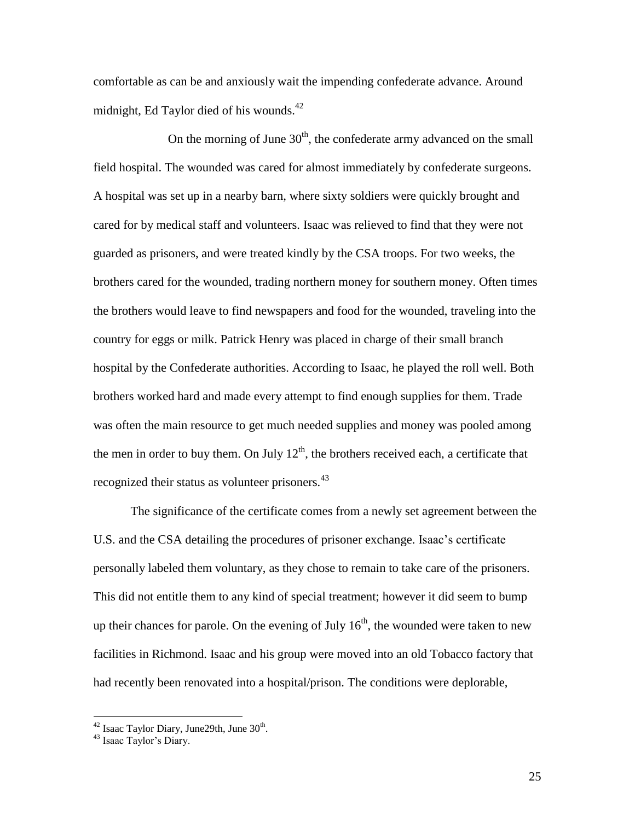comfortable as can be and anxiously wait the impending confederate advance. Around midnight, Ed Taylor died of his wounds. $42$ 

On the morning of June  $30<sup>th</sup>$ , the confederate army advanced on the small field hospital. The wounded was cared for almost immediately by confederate surgeons. A hospital was set up in a nearby barn, where sixty soldiers were quickly brought and cared for by medical staff and volunteers. Isaac was relieved to find that they were not guarded as prisoners, and were treated kindly by the CSA troops. For two weeks, the brothers cared for the wounded, trading northern money for southern money. Often times the brothers would leave to find newspapers and food for the wounded, traveling into the country for eggs or milk. Patrick Henry was placed in charge of their small branch hospital by the Confederate authorities. According to Isaac, he played the roll well. Both brothers worked hard and made every attempt to find enough supplies for them. Trade was often the main resource to get much needed supplies and money was pooled among the men in order to buy them. On July  $12<sup>th</sup>$ , the brothers received each, a certificate that recognized their status as volunteer prisoners.<sup>43</sup>

The significance of the certificate comes from a newly set agreement between the U.S. and the CSA detailing the procedures of prisoner exchange. Isaac's certificate personally labeled them voluntary, as they chose to remain to take care of the prisoners. This did not entitle them to any kind of special treatment; however it did seem to bump up their chances for parole. On the evening of July  $16<sup>th</sup>$ , the wounded were taken to new facilities in Richmond. Isaac and his group were moved into an old Tobacco factory that had recently been renovated into a hospital/prison. The conditions were deplorable,

 $42$  Isaac Taylor Diary, June 29th, June 30<sup>th</sup>.

<sup>43</sup> Isaac Taylor's Diary.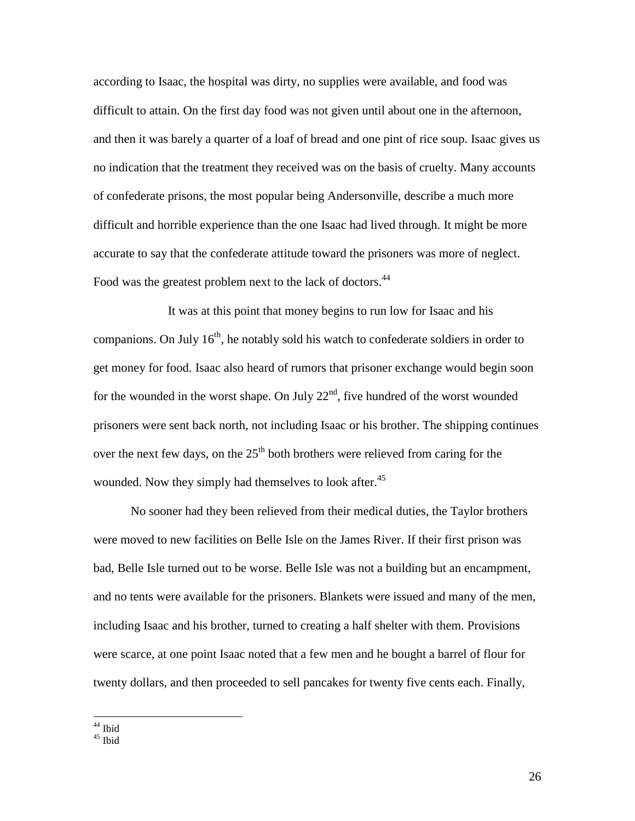according to Isaac, the hospital was dirty, no supplies were available, and food was difficult to attain. On the first day food was not given until about one in the afternoon, and then it was barely a quarter of a loaf of bread and one pint of rice soup. Isaac gives us no indication that the treatment they received was on the basis of cruelty. Many accounts of confederate prisons, the most popular being Andersonville, describe a much more difficult and horrible experience than the one Isaac had lived through. It might be more accurate to say that the confederate attitude toward the prisoners was more of neglect. Food was the greatest problem next to the lack of doctors.<sup>44</sup>

It was at this point that money begins to run low for Isaac and his companions. On July  $16<sup>th</sup>$ , he notably sold his watch to confederate soldiers in order to get money for food. Isaac also heard of rumors that prisoner exchange would begin soon for the wounded in the worst shape. On July  $22<sup>nd</sup>$ , five hundred of the worst wounded prisoners were sent back north, not including Isaac or his brother. The shipping continues over the next few days, on the  $25<sup>th</sup>$  both brothers were relieved from caring for the wounded. Now they simply had themselves to look after.<sup>45</sup>

No sooner had they been relieved from their medical duties, the Taylor brothers were moved to new facilities on Belle Isle on the James River. If their first prison was bad, Belle Isle turned out to be worse. Belle Isle was not a building but an encampment, and no tents were available for the prisoners. Blankets were issued and many of the men, including Isaac and his brother, turned to creating a half shelter with them. Provisions were scarce, at one point Isaac noted that a few men and he bought a barrel of flour for twenty dollars, and then proceeded to sell pancakes for twenty five cents each. Finally,

 $\overline{a}$ <sup>44</sup> Ibid

<sup>45</sup> Ibid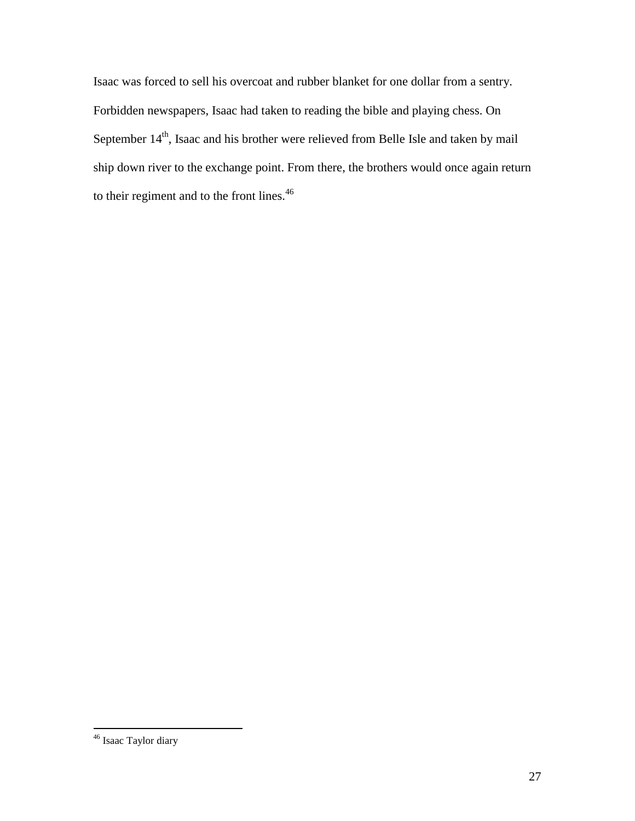Isaac was forced to sell his overcoat and rubber blanket for one dollar from a sentry. Forbidden newspapers, Isaac had taken to reading the bible and playing chess. On September  $14<sup>th</sup>$ , Isaac and his brother were relieved from Belle Isle and taken by mail ship down river to the exchange point. From there, the brothers would once again return to their regiment and to the front lines.<sup>46</sup>

<sup>&</sup>lt;sup>46</sup> Isaac Taylor diary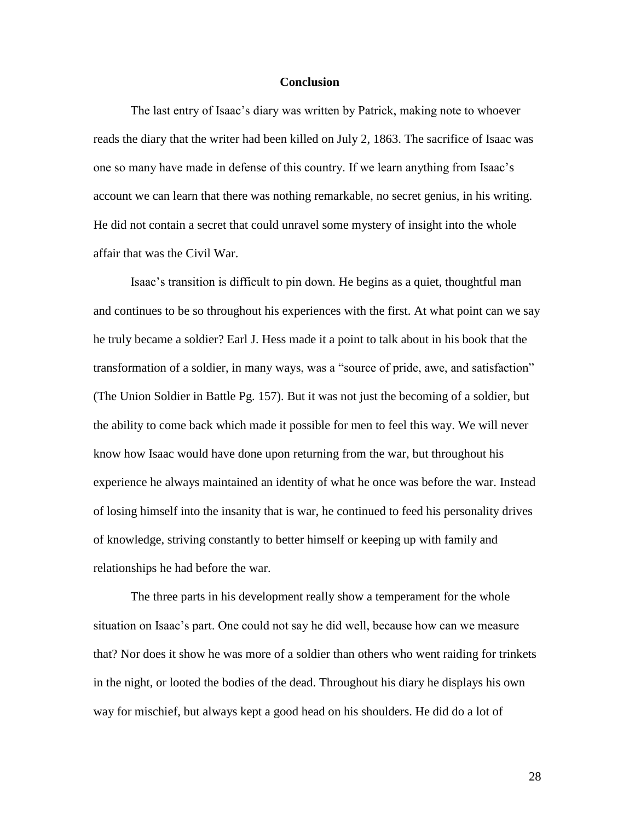#### **Conclusion**

The last entry of Isaac's diary was written by Patrick, making note to whoever reads the diary that the writer had been killed on July 2, 1863. The sacrifice of Isaac was one so many have made in defense of this country. If we learn anything from Isaac's account we can learn that there was nothing remarkable, no secret genius, in his writing. He did not contain a secret that could unravel some mystery of insight into the whole affair that was the Civil War.

Isaac's transition is difficult to pin down. He begins as a quiet, thoughtful man and continues to be so throughout his experiences with the first. At what point can we say he truly became a soldier? Earl J. Hess made it a point to talk about in his book that the transformation of a soldier, in many ways, was a "source of pride, awe, and satisfaction" (The Union Soldier in Battle Pg. 157). But it was not just the becoming of a soldier, but the ability to come back which made it possible for men to feel this way. We will never know how Isaac would have done upon returning from the war, but throughout his experience he always maintained an identity of what he once was before the war. Instead of losing himself into the insanity that is war, he continued to feed his personality drives of knowledge, striving constantly to better himself or keeping up with family and relationships he had before the war.

The three parts in his development really show a temperament for the whole situation on Isaac's part. One could not say he did well, because how can we measure that? Nor does it show he was more of a soldier than others who went raiding for trinkets in the night, or looted the bodies of the dead. Throughout his diary he displays his own way for mischief, but always kept a good head on his shoulders. He did do a lot of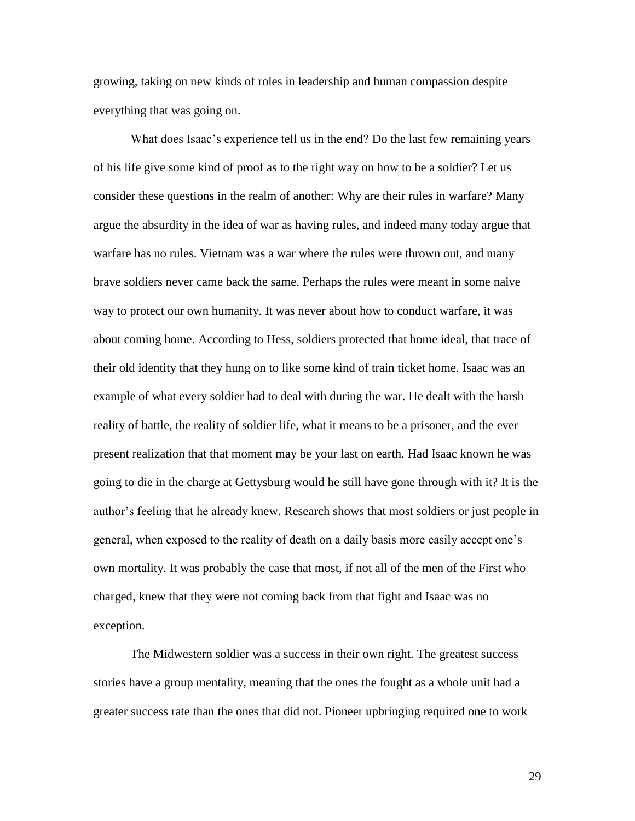growing, taking on new kinds of roles in leadership and human compassion despite everything that was going on.

What does Isaac's experience tell us in the end? Do the last few remaining years of his life give some kind of proof as to the right way on how to be a soldier? Let us consider these questions in the realm of another: Why are their rules in warfare? Many argue the absurdity in the idea of war as having rules, and indeed many today argue that warfare has no rules. Vietnam was a war where the rules were thrown out, and many brave soldiers never came back the same. Perhaps the rules were meant in some naive way to protect our own humanity. It was never about how to conduct warfare, it was about coming home. According to Hess, soldiers protected that home ideal, that trace of their old identity that they hung on to like some kind of train ticket home. Isaac was an example of what every soldier had to deal with during the war. He dealt with the harsh reality of battle, the reality of soldier life, what it means to be a prisoner, and the ever present realization that that moment may be your last on earth. Had Isaac known he was going to die in the charge at Gettysburg would he still have gone through with it? It is the author's feeling that he already knew. Research shows that most soldiers or just people in general, when exposed to the reality of death on a daily basis more easily accept one's own mortality. It was probably the case that most, if not all of the men of the First who charged, knew that they were not coming back from that fight and Isaac was no exception.

The Midwestern soldier was a success in their own right. The greatest success stories have a group mentality, meaning that the ones the fought as a whole unit had a greater success rate than the ones that did not. Pioneer upbringing required one to work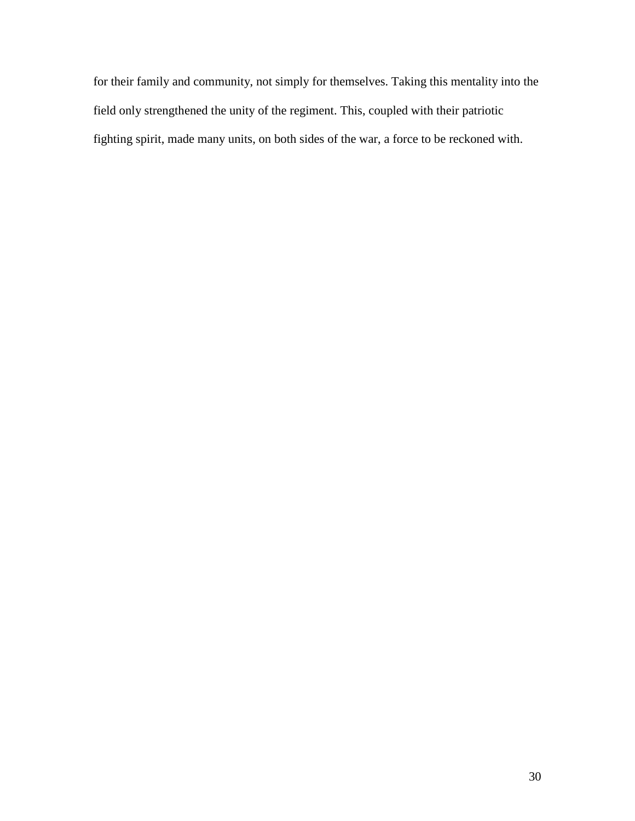for their family and community, not simply for themselves. Taking this mentality into the field only strengthened the unity of the regiment. This, coupled with their patriotic fighting spirit, made many units, on both sides of the war, a force to be reckoned with.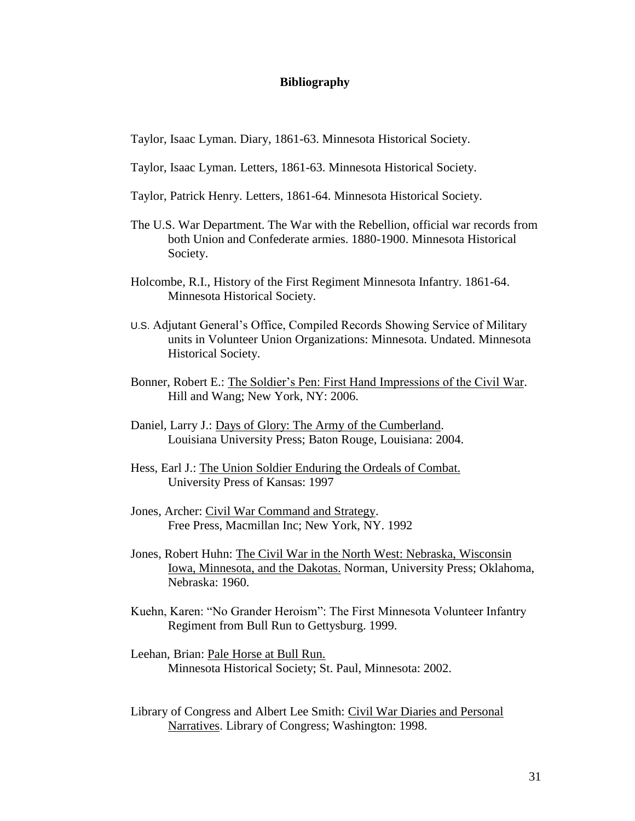# **Bibliography**

Taylor, Isaac Lyman. Diary, 1861-63. Minnesota Historical Society.

- Taylor, Isaac Lyman. Letters, 1861-63. Minnesota Historical Society.
- Taylor, Patrick Henry. Letters, 1861-64. Minnesota Historical Society.
- The U.S. War Department. The War with the Rebellion, official war records from both Union and Confederate armies. 1880-1900. Minnesota Historical Society.
- Holcombe, R.I., History of the First Regiment Minnesota Infantry. 1861-64. Minnesota Historical Society.
- U.S. Adjutant General's Office, Compiled Records Showing Service of Military units in Volunteer Union Organizations: Minnesota. Undated. Minnesota Historical Society.
- Bonner, Robert E.: The Soldier's Pen: First Hand Impressions of the Civil War. Hill and Wang; New York, NY: 2006.
- Daniel, Larry J.: Days of Glory: The Army of the Cumberland. Louisiana University Press; Baton Rouge, Louisiana: 2004.
- Hess, Earl J.: The Union Soldier Enduring the Ordeals of Combat. University Press of Kansas: 1997
- Jones, Archer: Civil War Command and Strategy. Free Press, Macmillan Inc; New York, NY. 1992
- Jones, Robert Huhn: The Civil War in the North West: Nebraska, Wisconsin Iowa, Minnesota, and the Dakotas. Norman, University Press; Oklahoma, Nebraska: 1960.
- Kuehn, Karen: "No Grander Heroism": The First Minnesota Volunteer Infantry Regiment from Bull Run to Gettysburg. 1999.
- Leehan, Brian: Pale Horse at Bull Run. Minnesota Historical Society; St. Paul, Minnesota: 2002.
- Library of Congress and Albert Lee Smith: Civil War Diaries and Personal Narratives. Library of Congress; Washington: 1998.